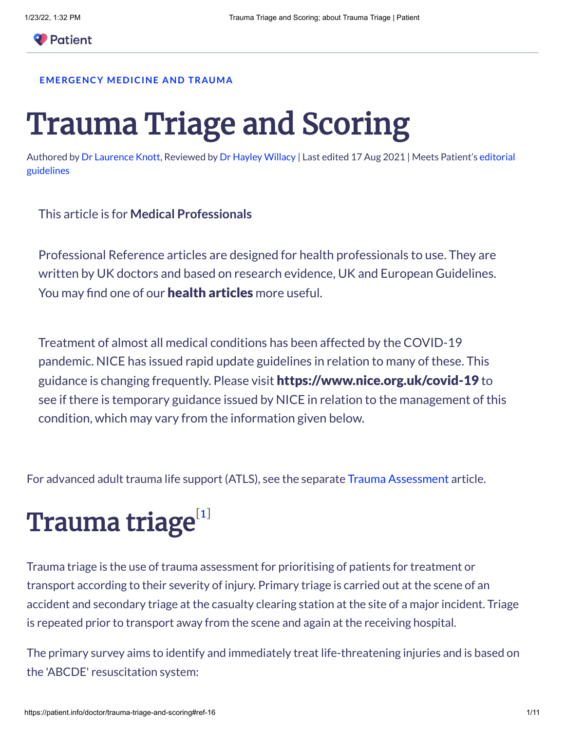#### **[EMERGENCY](https://patient.info/doctor/emergency-medicine-and-trauma-1303) MEDICINE AND TRAUMA**

# Trauma Triage and Scoring

Authored by Dr [Laurence](https://patient.info/authors/dr-laurence-knott) Knott, Reviewed by Dr Hayley [Willacy](https://patient.info/authors/dr-hayley-willacy) | [Last edited](https://patient.info/editorial-policy) 17 Aug 2021 | Meets Patient's editorial guidelines

This article is for **Medical Professionals**

Professional Reference articles are designed for health professionals to use. They are written by UK doctors and based on research evidence, UK and European Guidelines. You may find one of our **health [articles](https://patient.info/health)** more useful.

Treatment of almost all medical conditions has been affected by the COVID-19 pandemic. NICE has issued rapid update guidelines in relation to many of these. This guidance is changing frequently. Please visit <https://www.nice.org.uk/covid-19> to see if there is temporary guidance issued by NICE in relation to the management of this condition, which may vary from the information given below.

For advanced adult trauma life support (ATLS), see the separate Trauma [Assessment](https://patient.info/doctor/trauma-assessment) article.

## Trauma triage $^{\text{\tiny{[1]}}}$  $^{\text{\tiny{[1]}}}$  $^{\text{\tiny{[1]}}}$

Trauma triage is the use of trauma assessment for prioritising of patients for treatment or transport according to their severity of injury. Primary triage is carried out at the scene of an accident and secondary triage at the casualty clearing station at the site of a major incident. Triage is repeated prior to transport away from the scene and again at the receiving hospital.

The primary survey aims to identify and immediately treat life-threatening injuries and is based on the 'ABCDE' resuscitation system: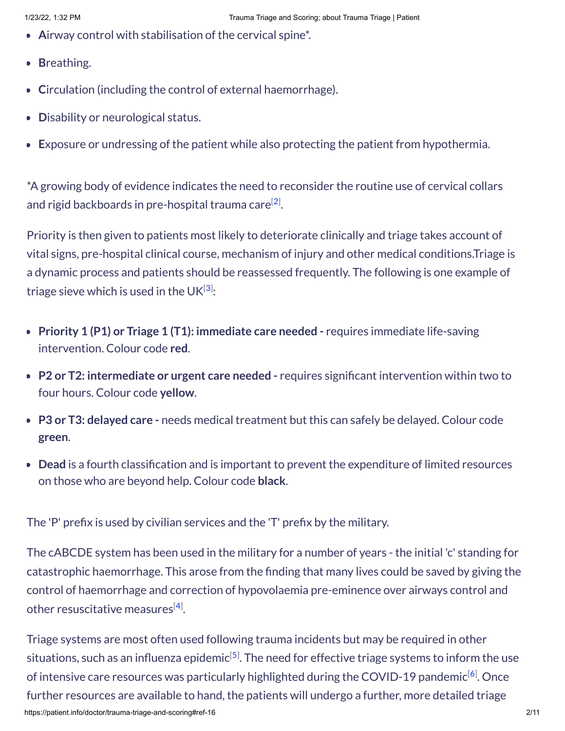- **A**irway control with stabilisation of the cervical spine\*.
- **B**reathing.
- **Circulation (including the control of external haemorrhage).**
- **Disability or neurological status.**
- **E**xposure or undressing of the patient while also protecting the patient from hypothermia.

\*A growing body of evidence indicates the need to reconsider the routine use of cervical collars and rigid backboards in pre-hospital trauma care $^{[2]}.$  $^{[2]}.$  $^{[2]}.$ 

Priority is then given to patients most likely to deteriorate clinically and triage takes account of vital signs, pre-hospital clinical course, mechanism of injury and other medical conditions.Triage is a dynamic process and patients should be reassessed frequently. The following is one example of triage sieve which is used in the UK $^{[3]}\!\!$  $^{[3]}\!\!$  $^{[3]}\!\!$ :

- **Priority 1 (P1) or Triage 1 (T1): immediate care needed** requires immediate life-saving intervention. Colour code **red**.
- **P2 or T2: intermediate or urgent care needed** requires significant intervention within two to four hours. Colour code **yellow**.
- **P3 or T3: delayed care -** needs medical treatment but this can safely be delayed. Colour code **green**.
- **Dead** is a fourth classification and is important to prevent the expenditure of limited resources on those who are beyond help. Colour code **black**.

The 'P' prefix is used by civilian services and the 'T' prefix by the military.

The cABCDE system has been used in the military for a number of years - the initial 'c' standing for catastrophic haemorrhage. This arose from the finding that many lives could be saved by giving the control of haemorrhage and correction of hypovolaemia pre-eminence over airways control and other resuscitative measures $^{[4]}.$  $^{[4]}.$  $^{[4]}.$ 

https://patient.info/doctor/trauma-triage-and-scoring#ref-16 2/11 Triage systems are most often used following trauma incidents but may be required in other situations, such as an influenza epidemic $^{\left[ 5\right] }$ . The need for effective triage systems to inform the use of intensive care resources was particularly highlighted during the COVID-19 pandemic $^{[6]}$  $^{[6]}$  $^{[6]}$ . Once further resources are available to hand, the patients will undergo a further, more detailed triage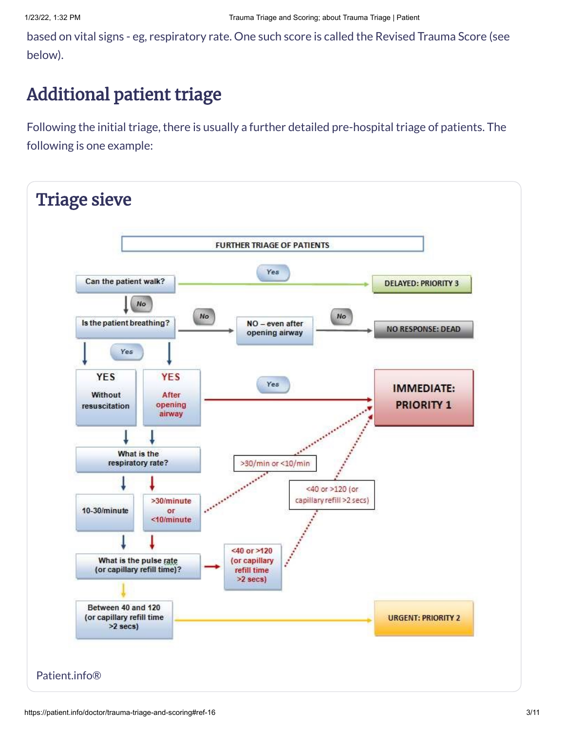based on vital signs - eg, respiratory rate. One such score is called the Revised Trauma Score (see below).

## Additional patient triage

Following the initial triage, there is usually a further detailed pre-hospital triage of patients. The following is one example:

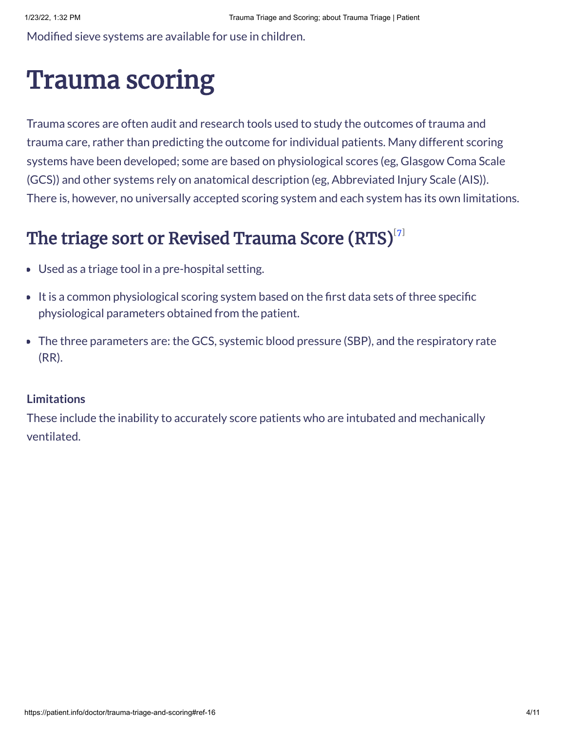Modified sieve systems are available for use in children.

## Trauma scoring

Trauma scores are often audit and research tools used to study the outcomes of trauma and trauma care, rather than predicting the outcome for individual patients. Many different scoring systems have been developed; some are based on physiological scores (eg, Glasgow Coma Scale (GCS)) and other systems rely on anatomical description (eg, Abbreviated Injury Scale (AIS)). There is, however, no universally accepted scoring system and each system has its own limitations.

## The triage sort or Revised Trauma Score  $\left(\mathbf{RTS}\right)^{\left[7\right]}$

- Used as a triage tool in a pre-hospital setting.
- It is a common physiological scoring system based on the first data sets of three specific physiological parameters obtained from the patient.
- The three parameters are: the GCS, systemic blood pressure (SBP), and the respiratory rate (RR).

#### **Limitations**

These include the inability to accurately score patients who are intubated and mechanically ventilated.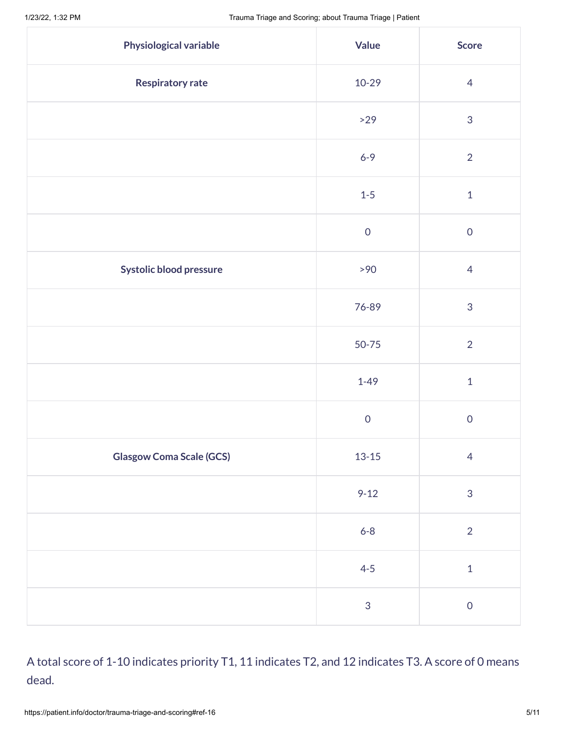| <b>Physiological variable</b>   | <b>Value</b>        | <b>Score</b>   |
|---------------------------------|---------------------|----------------|
| <b>Respiratory rate</b>         | 10-29               | $\overline{4}$ |
|                                 | $>29$               | $\mathfrak{S}$ |
|                                 | $6 - 9$             | $\overline{2}$ |
|                                 | $1-5$               | $\mathbf 1$    |
|                                 | $\mathsf{O}\xspace$ | $\overline{0}$ |
| Systolic blood pressure         | >90                 | $\overline{4}$ |
|                                 | 76-89               | $\mathfrak{S}$ |
|                                 | 50-75               | $\overline{2}$ |
|                                 | $1 - 49$            | $\mathbf 1$    |
|                                 | $\mathsf{O}\xspace$ | $\overline{0}$ |
| <b>Glasgow Coma Scale (GCS)</b> | $13 - 15$           | $\overline{4}$ |
|                                 | $9 - 12$            | $\mathfrak{S}$ |
|                                 | $6 - 8$             | $\overline{2}$ |
|                                 | $4 - 5$             | $\mathbf{1}$   |
|                                 | $\sqrt{3}$          | $\mathsf{O}$   |

#### A total score of 1-10 indicates priority T1, 11 indicates T2, and 12 indicates T3. A score of 0 means dead.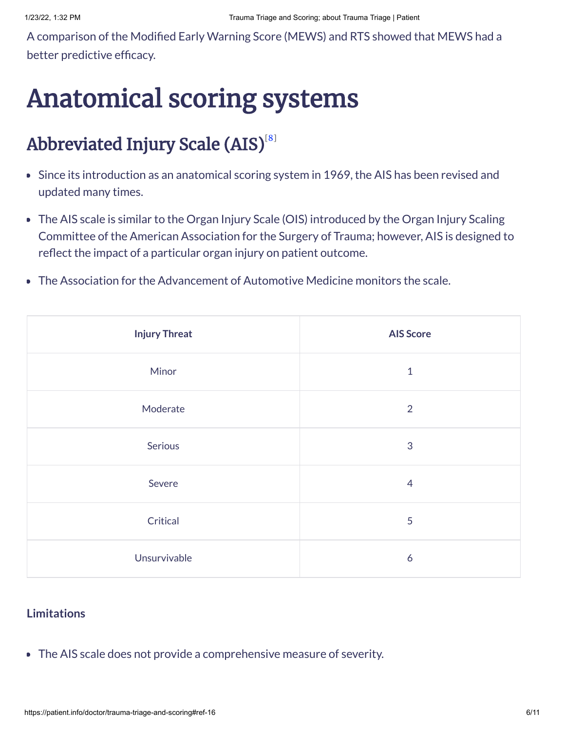A comparison of the Modified Early Warning Score (MEWS) and RTS showed that MEWS had a better predictive efficacy.

## Anatomical scoring systems

## Abbreviated Injury Scale (AIS) $^{\text{\tiny{[8]}}}$  $^{\text{\tiny{[8]}}}$  $^{\text{\tiny{[8]}}}$

- Since its introduction as an anatomical scoring system in 1969, the AIS has been revised and updated many times.
- The AIS scale is similar to the Organ Injury Scale (OIS) introduced by the Organ Injury Scaling Committee of the American Association for the Surgery of Trauma; however, AIS is designed to reflect the impact of a particular organ injury on patient outcome.
- The Association for the Advancement of Automotive Medicine monitors the scale.  $\bullet$

| <b>Injury Threat</b> | <b>AIS Score</b> |  |
|----------------------|------------------|--|
| Minor                | $\mathbf{1}$     |  |
| Moderate             | 2                |  |
| Serious              | 3                |  |
| Severe               | $\overline{4}$   |  |
| Critical             | 5                |  |
| Unsurvivable         | 6                |  |

#### **Limitations**

The AIS scale does not provide a comprehensive measure of severity.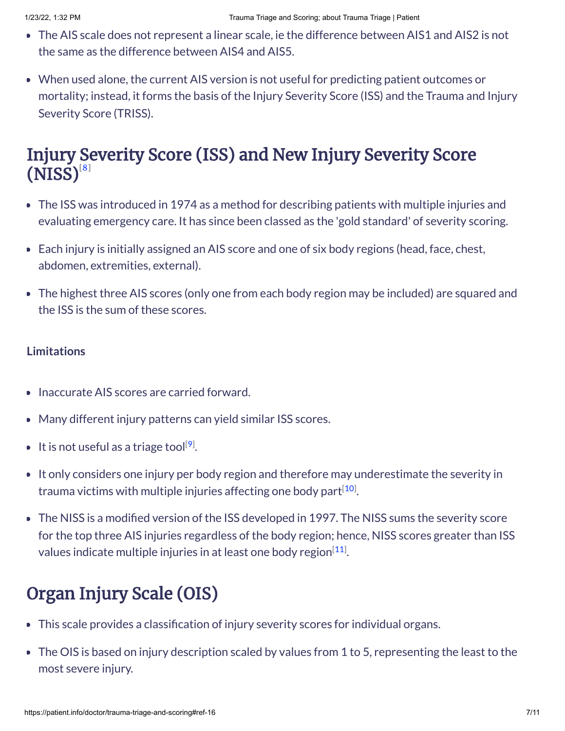- The AIS scale does not represent a linear scale, ie the difference between AIS1 and AIS2 is not the same as the difference between AIS4 and AIS5.
- When used alone, the current AIS version is not useful for predicting patient outcomes or mortality; instead, it forms the basis of the Injury Severity Score (ISS) and the Trauma and Injury Severity Score (TRISS).

### Injury Severity Score (ISS) and New Injury Severity Score  $(NISS)^{[8]}$  $(NISS)^{[8]}$  $(NISS)^{[8]}$

- The ISS was introduced in 1974 as a method for describing patients with multiple injuries and evaluating emergency care. It has since been classed as the 'gold standard' of severity scoring.
- Each injury is initially assigned an AIS score and one of six body regions (head, face, chest, abdomen, extremities, external).
- The highest three AIS scores (only one from each body region may be included) are squared and the ISS is the sum of these scores.

#### **Limitations**

- Inaccurate AIS scores are carried forward.  $\bullet$
- Many different injury patterns can yield similar ISS scores.
- It is not useful as a triage tool<sup>[[9](#page-9-3)]</sup>.
- It only considers one injury per body region and therefore may underestimate the severity in trauma victims with multiple injuries affecting one body part $^{[10]}$  $^{[10]}$  $^{[10]}$ .
- The NISS is a modified version of the ISS developed in 1997. The NISS sums the severity score for the top three AIS injuries regardless of the body region; hence, NISS scores greater than ISS values indicate multiple injuries in at least one body region $^{[11]}$  $^{[11]}$  $^{[11]}$ .

## Organ Injury Scale (OIS)

- This scale provides a classification of injury severity scores for individual organs.
- The OIS is based on injury description scaled by values from 1 to 5, representing the least to the most severe injury.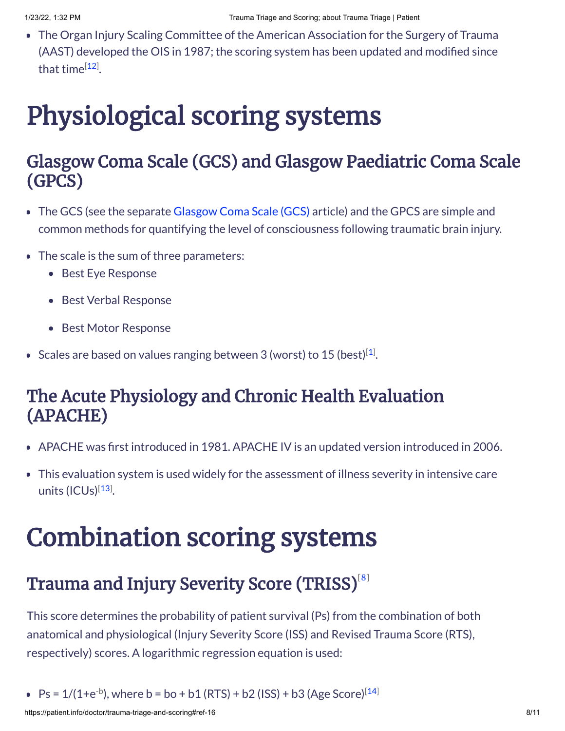The Organ Injury Scaling Committee of the American Association for the Surgery of Trauma (AAST) developed the OIS in 1987; the scoring system has been updated and modified since that time<sup>[\[12\]](#page-9-6)</sup>.

# Physiological scoring systems

### Glasgow Coma Scale (GCS) and Glasgow Paediatric Coma Scale (GPCS)

- The GCS (see the separate [Glasgow](https://patient.info/doctor/glasgow-coma-scale-gcs) Coma Scale (GCS) article) and the GPCS are simple and common methods for quantifying the level of consciousness following traumatic brain injury.
- The scale is the sum of three parameters:
	- Best Eye Response
	- Best Verbal Response
	- Best Motor Response
- Scales are based on values ranging between 3 (worst) to [1](#page-8-0)5 (best)<sup>[1]</sup>.

### The Acute Physiology and Chronic Health Evaluation (APACHE)

- APACHE was first introduced in 1981. APACHE IV is an updated version introduced in 2006.
- This evaluation system is used widely for the assessment of illness severity in intensive care units (ICUs)<sup>[\[13](#page-9-7)]</sup>.

## Combination scoring systems

## Trauma and Injury Severity Score (TRISS) $^{\text{\tiny{[8]}}}$  $^{\text{\tiny{[8]}}}$  $^{\text{\tiny{[8]}}}$

This score determines the probability of patient survival (Ps) from the combination of both anatomical and physiological (Injury Severity Score (ISS) and Revised Trauma Score (RTS), respectively) scores. A logarithmic regression equation is used:

Ps =  $1/(1+e^{-b})$ , where b = bo + b1 (RTS) + b2 (ISS) + b3 (Age Score)<sup>[\[14](#page-9-8)]</sup>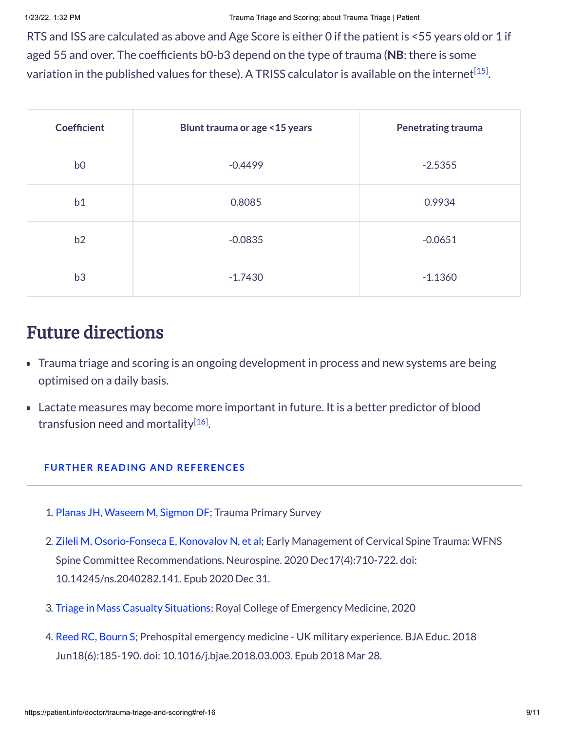RTS and ISS are calculated as above and Age Score is either 0 if the patient is <55 years old or 1 if aged 55 and over. The coefficients b0-b3 depend on the type of trauma (**NB**: there is some variation in the published values for these). A TRISS calculator is available on the internet $^{\left[ 15\right] }$ .

| <b>Coefficient</b> | Blunt trauma or age < 15 years | <b>Penetrating trauma</b> |
|--------------------|--------------------------------|---------------------------|
| b <sub>0</sub>     | $-0.4499$                      | $-2.5355$                 |
| b1                 | 0.8085                         | 0.9934                    |
| b2                 | $-0.0835$                      | $-0.0651$                 |
| b3                 | $-1.7430$                      | $-1.1360$                 |

### Future directions

- Trauma triage and scoring is an ongoing development in process and new systems are being optimised on a daily basis.
- Lactate measures may become more important in future. It is a better predictor of blood transfusion need and mortality<sup>[[16](#page-9-10)]</sup>.

#### **FURTHER READING AND REFERENCES**

- <span id="page-8-0"></span>1. Planas JH, [Waseem](http://www.ncbi.nlm.nih.gov/entrez/query.fcgi?cmd=Retrieve&db=PubMed&dopt=Abstract&list_uids=28613551) M, Sigmon DF; Trauma Primary Survey
- <span id="page-8-1"></span>2. Zileli M, [Osorio-Fonseca](http://www.ncbi.nlm.nih.gov/entrez/query.fcgi?cmd=Retrieve&db=PubMed&dopt=Abstract&list_uids=33401852) E, Konovalov N, et al; Early Management of Cervical Spine Trauma: WFNS Spine Committee Recommendations. Neurospine. 2020 Dec17(4):710-722. doi: 10.14245/ns.2040282.141. Epub 2020 Dec 31.
- <span id="page-8-2"></span>3. Triage in Mass Casualty [Situations](https://www.rcemlearning.co.uk/reference/triage-in-mass-casualty-situations/#1572966010659-587e0850-7bc1); Royal College of Emergency Medicine, 2020
- <span id="page-8-4"></span><span id="page-8-3"></span>4. Reed RC, [Bourn](http://www.ncbi.nlm.nih.gov/entrez/query.fcgi?cmd=Retrieve&db=PubMed&dopt=Abstract&list_uids=33456831) S; Prehospital emergency medicine - UK military experience. BJA Educ. 2018 Jun18(6):185-190. doi: 10.1016/j.bjae.2018.03.003. Epub 2018 Mar 28.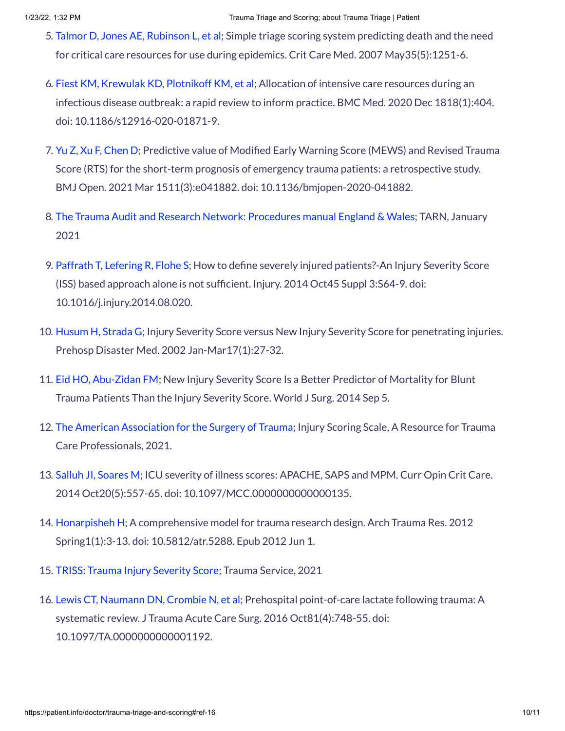- 5. Talmor D, Jones AE, [Rubinson](http://www.ncbi.nlm.nih.gov/entrez/query.fcgi?cmd=Retrieve&db=PubMed&dopt=Abstract&list_uids=17417099) L, et al; Simple triage scoring system predicting death and the need for critical care resources for use during epidemics. Crit Care Med. 2007 May35(5):1251-6.
- <span id="page-9-0"></span>6. Fiest KM, Krewulak KD, [Plotnikoff](http://www.ncbi.nlm.nih.gov/entrez/query.fcgi?cmd=Retrieve&db=PubMed&dopt=Abstract&list_uids=33334347) KM, et al; Allocation of intensive care resources during an infectious disease outbreak: a rapid review to inform practice. BMC Med. 2020 Dec 1818(1):404. doi: 10.1186/s12916-020-01871-9.
- <span id="page-9-1"></span>7. Yu Z, Xu F, [Chen](http://www.ncbi.nlm.nih.gov/entrez/query.fcgi?cmd=Retrieve&db=PubMed&dopt=Abstract&list_uids=33722865) D; Predictive value of Modified Early Warning Score (MEWS) and Revised Trauma Score (RTS) for the short-term prognosis of emergency trauma patients: a retrospective study. BMJ Open. 2021 Mar 1511(3):e041882. doi: 10.1136/bmjopen-2020-041882.
- <span id="page-9-2"></span>8. The Trauma Audit and Research Network: [Procedures](https://www.tarn.ac.uk/content/downloads/53/Procedures%20manual%20England%20&%20Wales%20Complete%20January%2021.pdf) manual England & Wales; TARN, January 2021
- <span id="page-9-3"></span>9. Paffrath T, [Lefering R,](http://www.ncbi.nlm.nih.gov/entrez/query.fcgi?cmd=Retrieve&db=PubMed&dopt=Abstract&list_uids=25284238) Flohe S; How to define severely injured patients?-An Injury Severity Score (ISS) based approach alone is not sufficient. Injury. 2014 Oct45 Suppl 3:S64-9. doi: 10.1016/j.injury.2014.08.020.
- <span id="page-9-4"></span>10. [Husum](http://www.ncbi.nlm.nih.gov/entrez/query.fcgi?cmd=Retrieve&db=PubMed&dopt=Abstract&list_uids=12357561) H, Strada G; Injury Severity Score versus New Injury Severity Score for penetrating injuries. Prehosp Disaster Med. 2002 Jan-Mar17(1):27-32.
- <span id="page-9-5"></span>11. Eid HO, [Abu-Zidan](http://www.ncbi.nlm.nih.gov/entrez/query.fcgi?cmd=Retrieve&db=PubMed&dopt=Abstract&list_uids=25189444) FM; New Injury Severity Score Is a Better Predictor of Mortality for Blunt Trauma Patients Than the Injury Severity Score. World J Surg. 2014 Sep 5.
- <span id="page-9-6"></span>12. The American [Association](https://www.aast.org/resources-detail/injury-scoring-scale) for the Surgery of Trauma; Injury Scoring Scale, A Resource for Trauma Care Professionals, 2021.
- <span id="page-9-7"></span>13. Salluh JI, [Soares](http://www.ncbi.nlm.nih.gov/entrez/query.fcgi?cmd=Retrieve&db=PubMed&dopt=Abstract&list_uids=25137401) M; ICU severity of illness scores: APACHE, SAPS and MPM. Curr Opin Crit Care. 2014 Oct20(5):557-65. doi: 10.1097/MCC.0000000000000135.
- <span id="page-9-8"></span>14. [Honarpisheh](http://www.ncbi.nlm.nih.gov/entrez/query.fcgi?cmd=Retrieve&db=PubMed&dopt=Abstract&list_uids=24719834) H; A comprehensive model for trauma research design. Arch Trauma Res. 2012 Spring1(1):3-13. doi: 10.5812/atr.5288. Epub 2012 Jun 1.
- <span id="page-9-9"></span>15. TRISS: Trauma Injury [Severity](https://www3.ha.org.hk/qmh/department/Special%20Services/Trauma/TRISS.html) Score; Trauma Service, 2021
- <span id="page-9-10"></span>16. Lewis CT, [Naumann](http://www.ncbi.nlm.nih.gov/entrez/query.fcgi?cmd=Retrieve&db=PubMed&dopt=Abstract&list_uids=27648771) DN, Crombie N, et al; Prehospital point-of-care lactate following trauma: A systematic review. J Trauma Acute Care Surg. 2016 Oct81(4):748-55. doi: 10.1097/TA.0000000000001192.